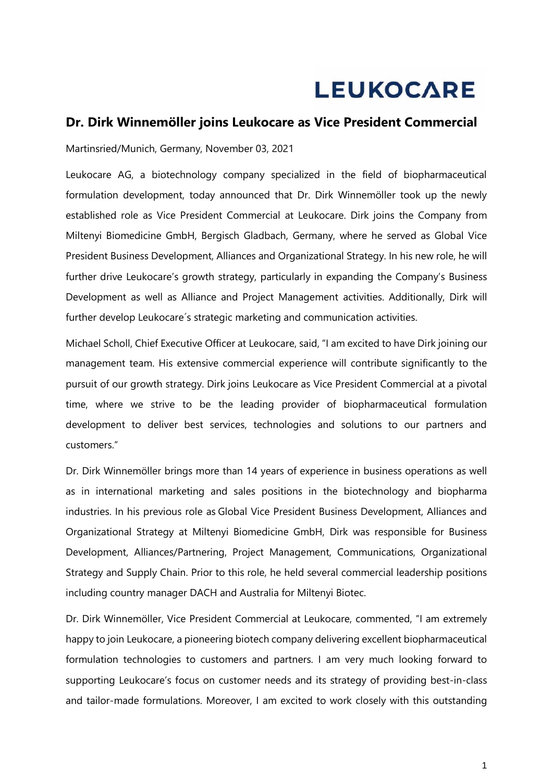## **LEUKOCARE**

## **Dr. Dirk Winnemöller joins Leukocare as Vice President Commercial**

Martinsried/Munich, Germany, November 03, 2021

Leukocare AG, a biotechnology company specialized in the field of biopharmaceutical formulation development, today announced that Dr. Dirk Winnemöller took up the newly established role as Vice President Commercial at Leukocare. Dirk joins the Company from Miltenyi Biomedicine GmbH, Bergisch Gladbach, Germany, where he served as Global Vice President Business Development, Alliances and Organizational Strategy. In his new role, he will further drive Leukocare's growth strategy, particularly in expanding the Company's Business Development as well as Alliance and Project Management activities. Additionally, Dirk will further develop Leukocare´s strategic marketing and communication activities.

Michael Scholl, Chief Executive Officer at Leukocare, said, "I am excited to have Dirk joining our management team. His extensive commercial experience will contribute significantly to the pursuit of our growth strategy. Dirk joins Leukocare as Vice President Commercial at a pivotal time, where we strive to be the leading provider of biopharmaceutical formulation development to deliver best services, technologies and solutions to our partners and customers."

Dr. Dirk Winnemöller brings more than 14 years of experience in business operations as well as in international marketing and sales positions in the biotechnology and biopharma industries. In his previous role as Global Vice President Business Development, Alliances and Organizational Strategy at Miltenyi Biomedicine GmbH, Dirk was responsible for Business Development, Alliances/Partnering, Project Management, Communications, Organizational Strategy and Supply Chain. Prior to this role, he held several commercial leadership positions including country manager DACH and Australia for Miltenyi Biotec.

Dr. Dirk Winnemöller, Vice President Commercial at Leukocare, commented, "I am extremely happy to join Leukocare, a pioneering biotech company delivering excellent biopharmaceutical formulation technologies to customers and partners. I am very much looking forward to supporting Leukocare's focus on customer needs and its strategy of providing best-in-class and tailor-made formulations. Moreover, I am excited to work closely with this outstanding